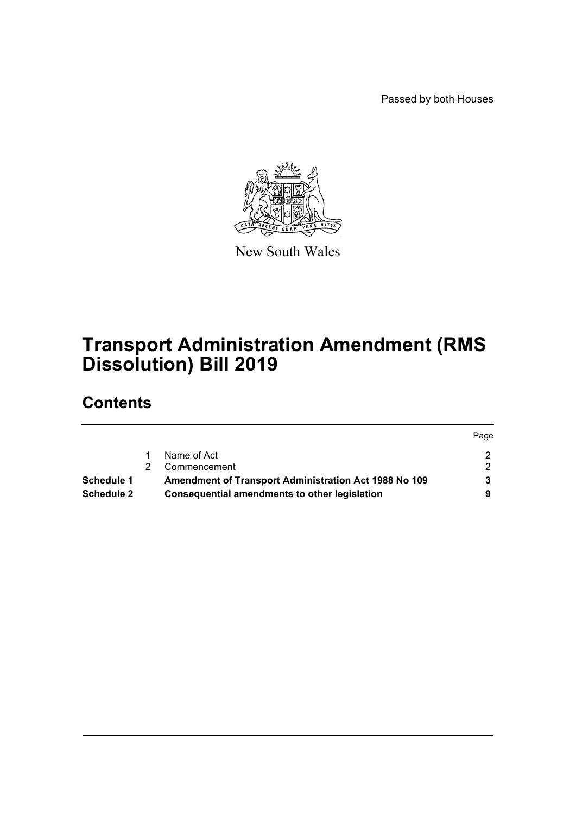Passed by both Houses



New South Wales

# **Transport Administration Amendment (RMS Dissolution) Bill 2019**

## **Contents**

|                   |                                                       | Page |
|-------------------|-------------------------------------------------------|------|
|                   | Name of Act                                           |      |
|                   | Commencement                                          |      |
| Schedule 1        | Amendment of Transport Administration Act 1988 No 109 |      |
| <b>Schedule 2</b> | <b>Consequential amendments to other legislation</b>  |      |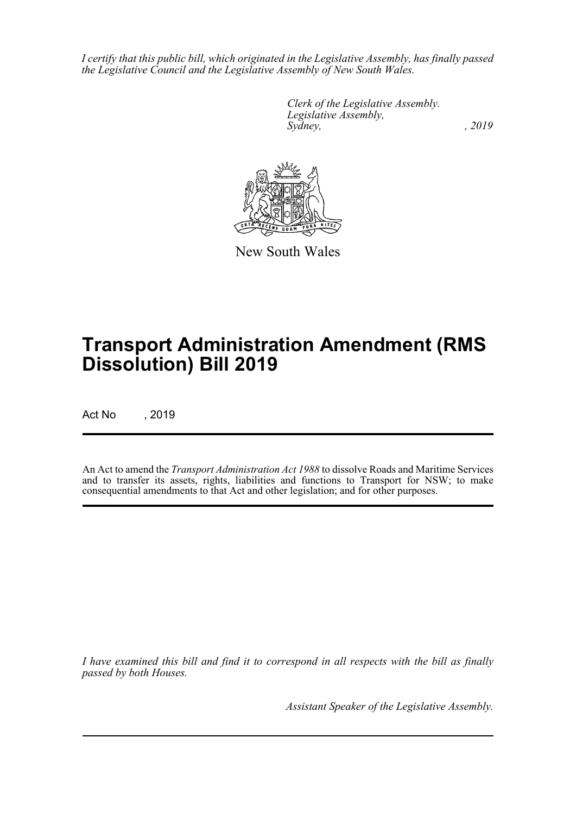*I certify that this public bill, which originated in the Legislative Assembly, has finally passed the Legislative Council and the Legislative Assembly of New South Wales.*

> *Clerk of the Legislative Assembly. Legislative Assembly, Sydney,* , 2019



New South Wales

# **Transport Administration Amendment (RMS Dissolution) Bill 2019**

Act No , 2019

An Act to amend the *Transport Administration Act 1988* to dissolve Roads and Maritime Services and to transfer its assets, rights, liabilities and functions to Transport for NSW; to make consequential amendments to that Act and other legislation; and for other purposes.

*I have examined this bill and find it to correspond in all respects with the bill as finally passed by both Houses.*

*Assistant Speaker of the Legislative Assembly.*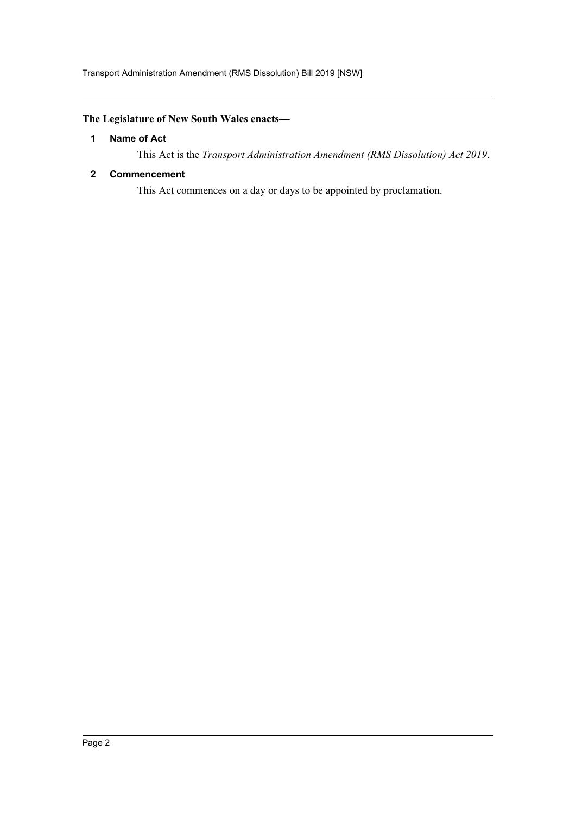#### <span id="page-2-0"></span>**The Legislature of New South Wales enacts—**

#### **1 Name of Act**

This Act is the *Transport Administration Amendment (RMS Dissolution) Act 2019*.

#### <span id="page-2-1"></span>**2 Commencement**

This Act commences on a day or days to be appointed by proclamation.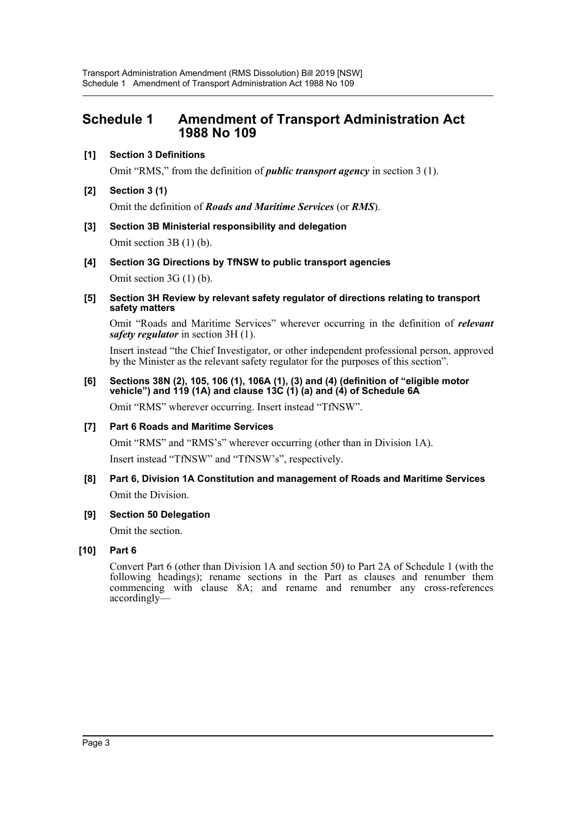## <span id="page-3-0"></span>**Schedule 1 Amendment of Transport Administration Act 1988 No 109**

#### **[1] Section 3 Definitions**

Omit "RMS," from the definition of *public transport agency* in section 3 (1).

**[2] Section 3 (1)**

Omit the definition of *Roads and Maritime Services* (or *RMS*).

- **[3] Section 3B Ministerial responsibility and delegation** Omit section 3B (1) (b).
- **[4] Section 3G Directions by TfNSW to public transport agencies**

Omit section 3G (1) (b).

**[5] Section 3H Review by relevant safety regulator of directions relating to transport safety matters**

Omit "Roads and Maritime Services" wherever occurring in the definition of *relevant safety regulator* in section 3H (1).

Insert instead "the Chief Investigator, or other independent professional person, approved by the Minister as the relevant safety regulator for the purposes of this section".

**[6] Sections 38N (2), 105, 106 (1), 106A (1), (3) and (4) (definition of "eligible motor vehicle") and 119 (1A) and clause 13C (1) (a) and (4) of Schedule 6A**

Omit "RMS" wherever occurring. Insert instead "TfNSW".

**[7] Part 6 Roads and Maritime Services**

Omit "RMS" and "RMS's" wherever occurring (other than in Division 1A).

Insert instead "TfNSW" and "TfNSW's", respectively.

- **[8] Part 6, Division 1A Constitution and management of Roads and Maritime Services** Omit the Division.
- **[9] Section 50 Delegation**

Omit the section.

#### **[10] Part 6**

Convert Part 6 (other than Division 1A and section 50) to Part 2A of Schedule 1 (with the following headings); rename sections in the Part as clauses and renumber them commencing with clause 8A; and rename and renumber any cross-references accordingly—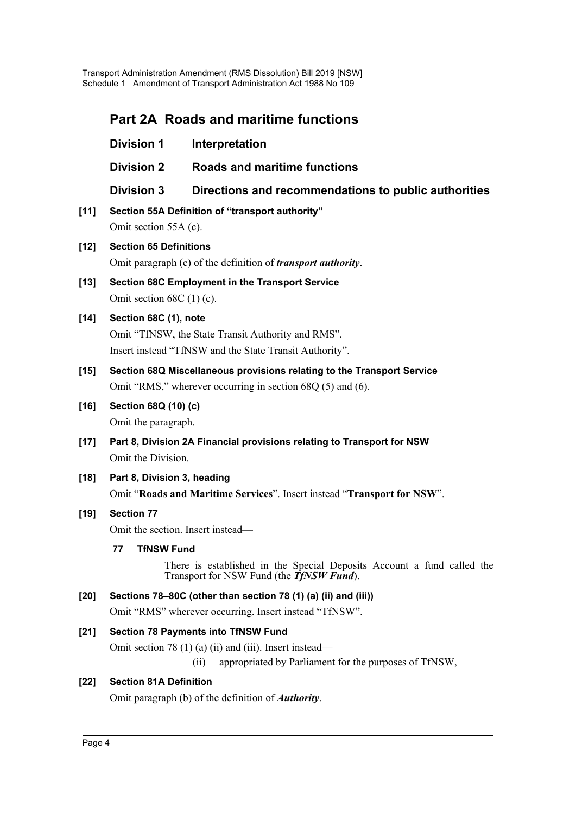## **Part 2A Roads and maritime functions**

|        | <b>Division 1</b>                                                                                                                                                       | Interpretation                                                                                                                         |  |  |  |
|--------|-------------------------------------------------------------------------------------------------------------------------------------------------------------------------|----------------------------------------------------------------------------------------------------------------------------------------|--|--|--|
|        | <b>Division 2</b>                                                                                                                                                       | <b>Roads and maritime functions</b>                                                                                                    |  |  |  |
|        | <b>Division 3</b>                                                                                                                                                       | Directions and recommendations to public authorities                                                                                   |  |  |  |
| $[11]$ | Section 55A Definition of "transport authority"<br>Omit section 55A (c).                                                                                                |                                                                                                                                        |  |  |  |
| $[12]$ | <b>Section 65 Definitions</b><br>Omit paragraph (c) of the definition of <i>transport authority</i> .                                                                   |                                                                                                                                        |  |  |  |
| $[13]$ | Section 68C Employment in the Transport Service<br>Omit section $68C(1)(c)$ .                                                                                           |                                                                                                                                        |  |  |  |
| $[14]$ | Section 68C (1), note<br>Omit "TfNSW, the State Transit Authority and RMS".<br>Insert instead "TfNSW and the State Transit Authority".                                  |                                                                                                                                        |  |  |  |
| $[15]$ | Section 68Q Miscellaneous provisions relating to the Transport Service<br>Omit "RMS," wherever occurring in section 68Q (5) and (6).                                    |                                                                                                                                        |  |  |  |
| $[16]$ | Section 68Q (10) (c)<br>Omit the paragraph.                                                                                                                             |                                                                                                                                        |  |  |  |
| $[17]$ | Part 8, Division 2A Financial provisions relating to Transport for NSW<br>Omit the Division.                                                                            |                                                                                                                                        |  |  |  |
| $[18]$ | Part 8, Division 3, heading<br>Omit "Roads and Maritime Services". Insert instead "Transport for NSW".                                                                  |                                                                                                                                        |  |  |  |
| $[19]$ | <b>Section 77</b><br>Omit the section. Insert instead-                                                                                                                  |                                                                                                                                        |  |  |  |
|        | 77<br><b>TfNSW Fund</b>                                                                                                                                                 | There is established in the Special Deposits Account a fund called the<br>Transport for NSW Fund (the $\overrightarrow{T}f$ NSW Fund). |  |  |  |
| $[20]$ | Sections 78-80C (other than section 78 (1) (a) (ii) and (iii))<br>Omit "RMS" wherever occurring. Insert instead "TfNSW".                                                |                                                                                                                                        |  |  |  |
| $[21]$ | <b>Section 78 Payments into TfNSW Fund</b><br>Omit section 78 $(1)$ (a) (ii) and (iii). Insert instead—<br>appropriated by Parliament for the purposes of TfNSW,<br>(i) |                                                                                                                                        |  |  |  |
| $[22]$ | <b>Section 81A Definition</b>                                                                                                                                           | Omit paragraph (b) of the definition of <i>Authority</i> .                                                                             |  |  |  |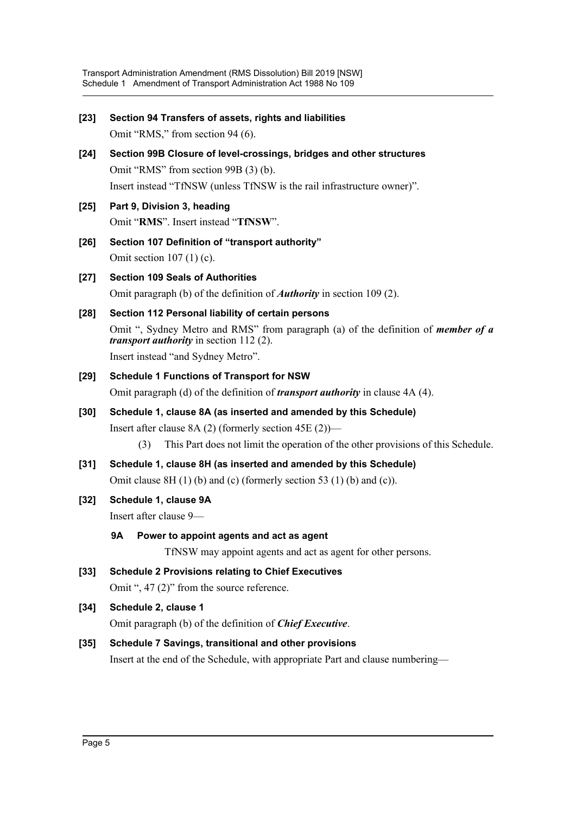| $[23]$ | Section 94 Transfers of assets, rights and liabilities                                                                                       |  |  |  |
|--------|----------------------------------------------------------------------------------------------------------------------------------------------|--|--|--|
|        | Omit "RMS," from section 94 (6).                                                                                                             |  |  |  |
| $[24]$ | Section 99B Closure of level-crossings, bridges and other structures                                                                         |  |  |  |
|        | Omit "RMS" from section 99B (3) (b).                                                                                                         |  |  |  |
|        | Insert instead "TfNSW (unless TfNSW is the rail infrastructure owner)".                                                                      |  |  |  |
| $[25]$ | Part 9, Division 3, heading                                                                                                                  |  |  |  |
|        | Omit "RMS". Insert instead "TfNSW".                                                                                                          |  |  |  |
| [26]   | Section 107 Definition of "transport authority"                                                                                              |  |  |  |
|        | Omit section $107(1)(c)$ .                                                                                                                   |  |  |  |
| $[27]$ | <b>Section 109 Seals of Authorities</b>                                                                                                      |  |  |  |
|        | Omit paragraph (b) of the definition of <i>Authority</i> in section 109 (2).                                                                 |  |  |  |
| [28]   | Section 112 Personal liability of certain persons                                                                                            |  |  |  |
|        | Omit ", Sydney Metro and RMS" from paragraph (a) of the definition of <i>member of a</i><br><i>transport authority</i> in section $112(2)$ . |  |  |  |
|        | Insert instead "and Sydney Metro".                                                                                                           |  |  |  |
| [29]   | <b>Schedule 1 Functions of Transport for NSW</b>                                                                                             |  |  |  |
|        | Omit paragraph (d) of the definition of <i>transport authority</i> in clause 4A (4).                                                         |  |  |  |
| [30]   | Schedule 1, clause 8A (as inserted and amended by this Schedule)                                                                             |  |  |  |
|        | Insert after clause 8A $(2)$ (formerly section 45E $(2)$ )—                                                                                  |  |  |  |
|        | This Part does not limit the operation of the other provisions of this Schedule.<br>(3)                                                      |  |  |  |
| $[31]$ | Schedule 1, clause 8H (as inserted and amended by this Schedule)                                                                             |  |  |  |
|        | Omit clause $8H(1)$ (b) and (c) (formerly section 53 (1) (b) and (c)).                                                                       |  |  |  |
| $[32]$ | Schedule 1, clause 9A                                                                                                                        |  |  |  |
|        | Insert after clause 9-                                                                                                                       |  |  |  |
|        | Power to appoint agents and act as agent<br>9Α                                                                                               |  |  |  |
|        | TfNSW may appoint agents and act as agent for other persons.                                                                                 |  |  |  |
| $[33]$ | <b>Schedule 2 Provisions relating to Chief Executives</b>                                                                                    |  |  |  |
|        | Omit ", $47$ (2)" from the source reference.                                                                                                 |  |  |  |
| $[34]$ | Schedule 2, clause 1                                                                                                                         |  |  |  |
|        | Omit paragraph (b) of the definition of <i>Chief Executive</i> .                                                                             |  |  |  |
| $[35]$ | Schedule 7 Savings, transitional and other provisions                                                                                        |  |  |  |
|        | Insert at the end of the Schedule, with appropriate Part and clause numbering-                                                               |  |  |  |
|        |                                                                                                                                              |  |  |  |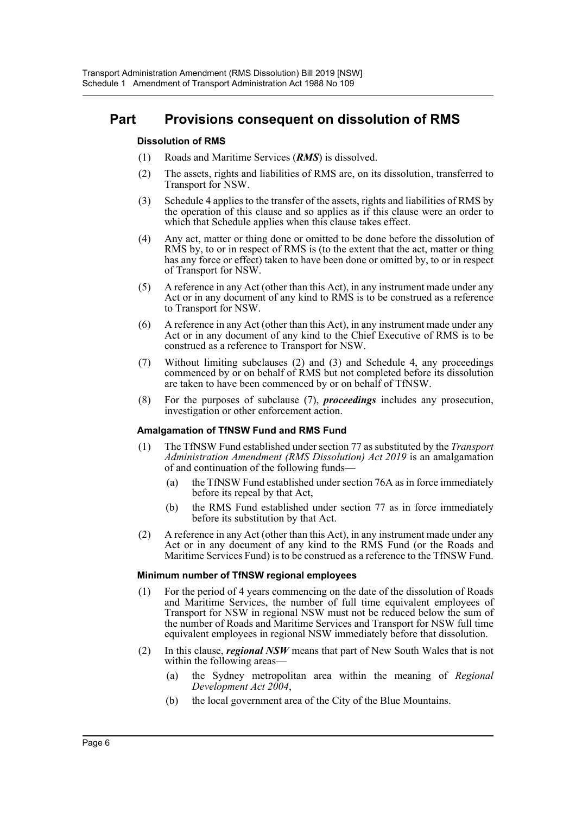## **Part Provisions consequent on dissolution of RMS**

#### **Dissolution of RMS**

- (1) Roads and Maritime Services (*RMS*) is dissolved.
- (2) The assets, rights and liabilities of RMS are, on its dissolution, transferred to Transport for NSW.
- (3) Schedule 4 applies to the transfer of the assets, rights and liabilities of RMS by the operation of this clause and so applies as if this clause were an order to which that Schedule applies when this clause takes effect.
- (4) Any act, matter or thing done or omitted to be done before the dissolution of RMS by, to or in respect of RMS is (to the extent that the act, matter or thing has any force or effect) taken to have been done or omitted by, to or in respect of Transport for NSW.
- (5) A reference in any Act (other than this Act), in any instrument made under any Act or in any document of any kind to RMS is to be construed as a reference to Transport for NSW.
- (6) A reference in any Act (other than this Act), in any instrument made under any Act or in any document of any kind to the Chief Executive of RMS is to be construed as a reference to Transport for NSW.
- (7) Without limiting subclauses (2) and (3) and Schedule 4, any proceedings commenced by or on behalf of RMS but not completed before its dissolution are taken to have been commenced by or on behalf of TfNSW.
- (8) For the purposes of subclause (7), *proceedings* includes any prosecution, investigation or other enforcement action.

#### **Amalgamation of TfNSW Fund and RMS Fund**

- (1) The TfNSW Fund established under section 77 as substituted by the *Transport Administration Amendment (RMS Dissolution) Act 2019* is an amalgamation of and continuation of the following funds—
	- (a) the TfNSW Fund established under section 76A as in force immediately before its repeal by that Act,
	- (b) the RMS Fund established under section 77 as in force immediately before its substitution by that Act.
- (2) A reference in any Act (other than this Act), in any instrument made under any Act or in any document of any kind to the RMS Fund (or the Roads and Maritime Services Fund) is to be construed as a reference to the TfNSW Fund.

#### **Minimum number of TfNSW regional employees**

- (1) For the period of 4 years commencing on the date of the dissolution of Roads and Maritime Services, the number of full time equivalent employees of Transport for NSW in regional NSW must not be reduced below the sum of the number of Roads and Maritime Services and Transport for NSW full time equivalent employees in regional NSW immediately before that dissolution.
- (2) In this clause, *regional NSW* means that part of New South Wales that is not within the following areas—
	- (a) the Sydney metropolitan area within the meaning of *Regional Development Act 2004*,
	- (b) the local government area of the City of the Blue Mountains.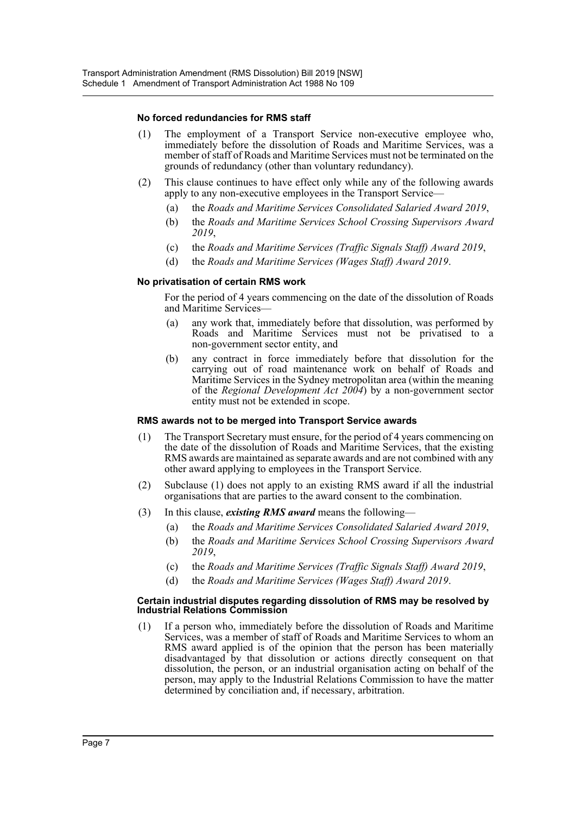#### **No forced redundancies for RMS staff**

- (1) The employment of a Transport Service non-executive employee who, immediately before the dissolution of Roads and Maritime Services, was a member of staff of Roads and Maritime Services must not be terminated on the grounds of redundancy (other than voluntary redundancy).
- (2) This clause continues to have effect only while any of the following awards apply to any non-executive employees in the Transport Service—
	- (a) the *Roads and Maritime Services Consolidated Salaried Award 2019*,
	- (b) the *Roads and Maritime Services School Crossing Supervisors Award 2019*,
	- (c) the *Roads and Maritime Services (Traffic Signals Staff) Award 2019*,
	- (d) the *Roads and Maritime Services (Wages Staff) Award 2019*.

#### **No privatisation of certain RMS work**

For the period of 4 years commencing on the date of the dissolution of Roads and Maritime Services—

- (a) any work that, immediately before that dissolution, was performed by Roads and Maritime Services must not be privatised to a non-government sector entity, and
- (b) any contract in force immediately before that dissolution for the carrying out of road maintenance work on behalf of Roads and Maritime Services in the Sydney metropolitan area (within the meaning of the *Regional Development Act 2004*) by a non-government sector entity must not be extended in scope.

#### **RMS awards not to be merged into Transport Service awards**

- (1) The Transport Secretary must ensure, for the period of 4 years commencing on the date of the dissolution of Roads and Maritime Services, that the existing RMS awards are maintained as separate awards and are not combined with any other award applying to employees in the Transport Service.
- (2) Subclause (1) does not apply to an existing RMS award if all the industrial organisations that are parties to the award consent to the combination.
- (3) In this clause, *existing RMS award* means the following—
	- (a) the *Roads and Maritime Services Consolidated Salaried Award 2019*,
	- (b) the *Roads and Maritime Services School Crossing Supervisors Award 2019*,
	- (c) the *Roads and Maritime Services (Traffic Signals Staff) Award 2019*,
	- (d) the *Roads and Maritime Services (Wages Staff) Award 2019*.

#### **Certain industrial disputes regarding dissolution of RMS may be resolved by Industrial Relations Commission**

(1) If a person who, immediately before the dissolution of Roads and Maritime Services, was a member of staff of Roads and Maritime Services to whom an RMS award applied is of the opinion that the person has been materially disadvantaged by that dissolution or actions directly consequent on that dissolution, the person, or an industrial organisation acting on behalf of the person, may apply to the Industrial Relations Commission to have the matter determined by conciliation and, if necessary, arbitration.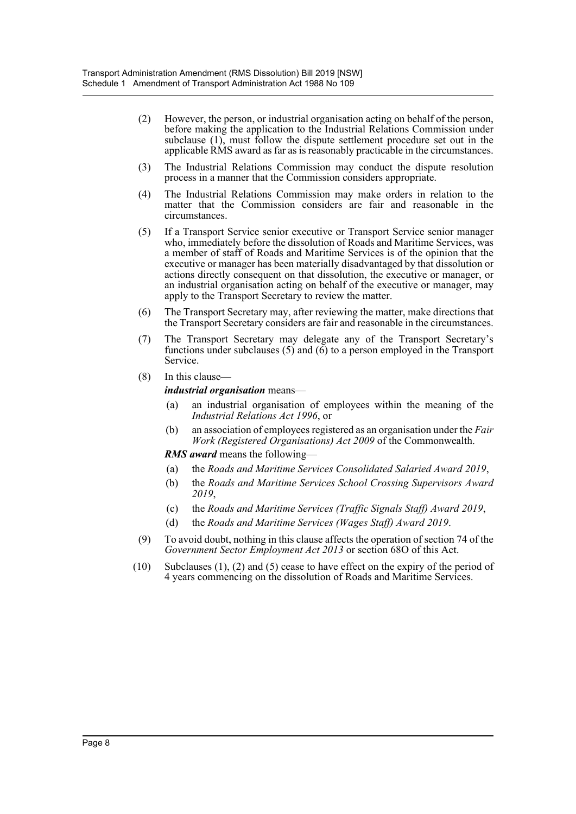- (2) However, the person, or industrial organisation acting on behalf of the person, before making the application to the Industrial Relations Commission under subclause (1), must follow the dispute settlement procedure set out in the applicable RMS award as far as is reasonably practicable in the circumstances.
- (3) The Industrial Relations Commission may conduct the dispute resolution process in a manner that the Commission considers appropriate.
- (4) The Industrial Relations Commission may make orders in relation to the matter that the Commission considers are fair and reasonable in the circumstances.
- (5) If a Transport Service senior executive or Transport Service senior manager who, immediately before the dissolution of Roads and Maritime Services, was a member of staff of Roads and Maritime Services is of the opinion that the executive or manager has been materially disadvantaged by that dissolution or actions directly consequent on that dissolution, the executive or manager, or an industrial organisation acting on behalf of the executive or manager, may apply to the Transport Secretary to review the matter.
- (6) The Transport Secretary may, after reviewing the matter, make directions that the Transport Secretary considers are fair and reasonable in the circumstances.
- (7) The Transport Secretary may delegate any of the Transport Secretary's functions under subclauses (5) and (6) to a person employed in the Transport Service.
- (8) In this clause—

*industrial organisation* means—

- (a) an industrial organisation of employees within the meaning of the *Industrial Relations Act 1996*, or
- (b) an association of employees registered as an organisation under the *Fair Work (Registered Organisations) Act 2009* of the Commonwealth.

*RMS award* means the following—

- (a) the *Roads and Maritime Services Consolidated Salaried Award 2019*,
- (b) the *Roads and Maritime Services School Crossing Supervisors Award 2019*,
- (c) the *Roads and Maritime Services (Traffic Signals Staff) Award 2019*,
- (d) the *Roads and Maritime Services (Wages Staff) Award 2019*.
- (9) To avoid doubt, nothing in this clause affects the operation of section 74 of the *Government Sector Employment Act 2013* or section 68O of this Act.
- (10) Subclauses (1), (2) and (5) cease to have effect on the expiry of the period of 4 years commencing on the dissolution of Roads and Maritime Services.